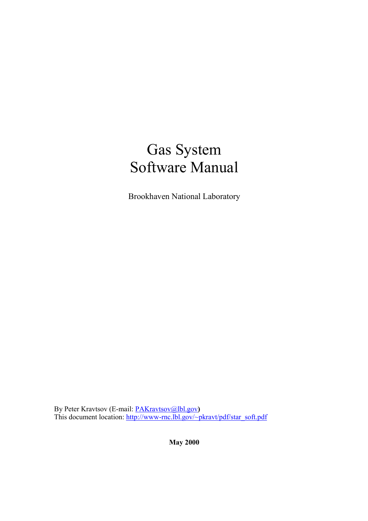# Gas System Software Manual

Brookhaven National Laboratory

By Peter Kravtsov (E-mail: PAKravtsov@lbl.gov)<br>This document location: http://www-rnc.lbl.gov/~pkravt/pdf/star\_soft.pdf

**May 2000**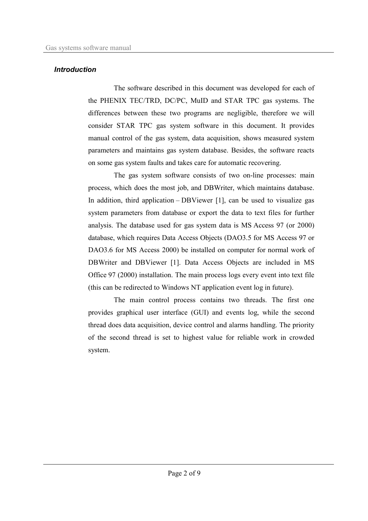### **Introduction**

The software described in this document was developed for each of the PHENIX TEC/TRD, DC/PC, MuID and STAR TPC gas systems. The differences between these two programs are negligible, therefore we will consider STAR TPC gas system software in this document. It provides manual control of the gas system, data acquisition, shows measured system parameters and maintains gas system database. Besides, the software reacts on some gas system faults and takes care for automatic recovering.

The gas system software consists of two on-line processes: main process, which does the most job, and DBWriter, which maintains database. In addition, third application  $-DBV$  iewer [1], can be used to visualize gas system parameters from database or export the data to text files for further analysis. The database used for gas system data is MS Access 97 (or 2000) database, which requires Data Access Objects (DAO3.5 for MS Access 97 or DAO3.6 for MS Access 2000) be installed on computer for normal work of DBWriter and DBViewer [1]. Data Access Objects are included in MS Office 97 (2000) installation. The main process logs every event into text file (this can be redirected to Windows NT application event log in future).

The main control process contains two threads. The first one provides graphical user interface (GUI) and events log, while the second thread does data acquisition, device control and alarms handling. The priority of the second thread is set to highest value for reliable work in crowded system.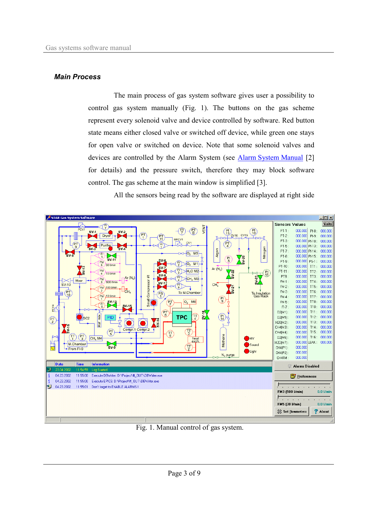#### **Main Process**

The main process of gas system software gives user a possibility to control gas system manually (Fig. 1). The buttons on the gas scheme represent every solenoid valve and device controlled by software. Red button state means either closed valve or switched off device, while green one stays for open valve or switched on device. Note that some solenoid valves and devices are controlled by the Alarm System (see Alarm System Manual [2] for details) and the pressure switch, therefore they may block software control. The gas scheme at the main window is simplified [3].

All the sensors being read by the software are displayed at right side



Fig. 1. Manual control of gas system.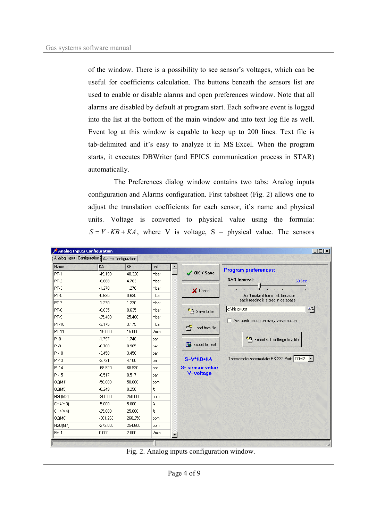of the window. There is a possibility to see sensor's voltages, which can be useful for coefficients calculation. The buttons beneath the sensors list are used to enable or disable alarms and open preferences window. Note that all alarms are disabled by default at program start. Each software event is logged into the list at the bottom of the main window and into text log file as well. Event log at this window is capable to keep up to 200 lines. Text file is tab-delimited and it's easy to analyze it in MS Excel. When the program starts, it executes DBWriter (and EPICS communication process in STAR) automatically.

The Preferences dialog window contains two tabs: Analog inputs configuration and Alarms configuration. First tabsheet (Fig. 2) allows one to adjust the translation coefficients for each sensor, it's name and physical units. Voltage is converted to physical value using the formula:  $S = V \cdot KB + KA$ , where V is voltage, S – physical value. The sensors

|         | Analog Inputs Configuration   Alarms Configuration |         |                                 |                |                       |                                              |  |  |  |  |
|---------|----------------------------------------------------|---------|---------------------------------|----------------|-----------------------|----------------------------------------------|--|--|--|--|
| Name    | <b>KA</b>                                          | KB      | unit                            |                |                       | <b>Program preferences:</b>                  |  |  |  |  |
| PT-1    | $-49.190$                                          | 40.320  | mbar                            |                | $\bigvee$ OK / Save   |                                              |  |  |  |  |
| PT-2    | $-6.668$                                           | 4.763   | mbar                            |                |                       | <b>DAQ Interval:</b><br>60 Sec               |  |  |  |  |
| PT-3    | $-1.270$                                           | 1.270   | mbar                            |                | X Cancel              | W.<br>¥.<br>Don't make it too small, because |  |  |  |  |
| PT-5    | $-0.635$                                           | 0.635   | mbar                            |                |                       |                                              |  |  |  |  |
| PT-7    | $-1.270$                                           | 1.270   | mbar                            |                |                       | each reading is stored in database !         |  |  |  |  |
| PT-8    | $-0.635$                                           | 0.635   | mbar                            |                | Save to file          | c:\history.txt<br>ョ                          |  |  |  |  |
| PT-9    | $-25.400$                                          | 25.400  | mbar                            |                |                       | Ask confirmation on every valve action       |  |  |  |  |
| PT-10   | $-3.175$                                           | 3.175   | mbar                            |                | гP<br>Load from file  |                                              |  |  |  |  |
| PT-11   | $-15.000$                                          | 15.000  | I/min                           |                |                       | Export ALL settings to a file                |  |  |  |  |
| $PI-8$  | $-1.797$                                           | 1.740   | bar                             |                |                       |                                              |  |  |  |  |
| $PI-9$  | $-0.788$                                           | 0.985   | bar                             |                | Export to Text        |                                              |  |  |  |  |
| PI-10   | $-3.450$                                           | 3.450   | bar                             |                |                       |                                              |  |  |  |  |
| PI-13   | $-3.731$                                           | 4.100   | bar                             |                | $S = V^*KB + KA$      | Thermometer/commutator RS-232 Port: COM2 ▼   |  |  |  |  |
| $PI-14$ | $-68.920$                                          | 68.920  | bar                             |                | <b>S-sensor value</b> |                                              |  |  |  |  |
| PI-15   | $-0.517$                                           | 0.517   | bar                             |                | V-voltage             |                                              |  |  |  |  |
| O2(M1)  | $-50.000$                                          | 50,000  | ppm                             |                |                       |                                              |  |  |  |  |
| 02(M5)  | $-0.249$                                           | 0.250   | $\%$                            |                |                       |                                              |  |  |  |  |
| H20(M2) | $-250.000$                                         | 250,000 | ppm                             |                |                       |                                              |  |  |  |  |
| CH4(M3) | $-5.000$                                           | 5.000   | $\boldsymbol{\%}$               |                |                       |                                              |  |  |  |  |
| CH4(M4) | $-25.000$                                          | 25,000  | $\!\!{\scriptstyle\mathcal{Z}}$ |                |                       |                                              |  |  |  |  |
| 02(M6)  | $-301.260$                                         | 260.250 | ppm                             |                |                       |                                              |  |  |  |  |
| H20(M7) | $-273.000$                                         | 254.600 | ppm                             |                |                       |                                              |  |  |  |  |
| FM-1    | 0.000                                              | 2.000   | I/min                           | $\blacksquare$ |                       |                                              |  |  |  |  |

Fig. 2. Analog inputs configuration window.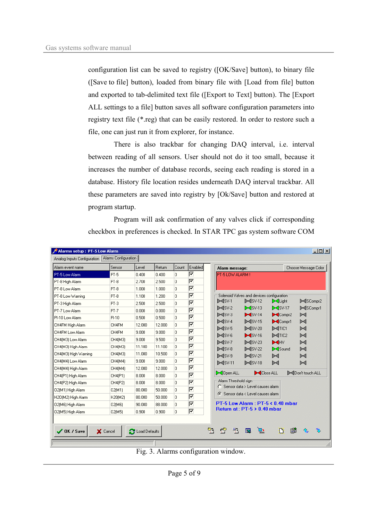configuration list can be saved to registry ([OK/Save] button), to binary file ([Save to file] button), loaded from binary file with [Load from file] button and exported to tab-delimited text file ([Export to Text] button). The [Export ALL settings to a file] button saves all software configuration parameters into registry text file (\*.reg) that can be easily restored. In order to restore such a file, one can just run it from explorer, for instance.

There is also trackbar for changing DAQ interval, i.e. interval between reading of all sensors. User should not do it too small, because it increases the number of database records, seeing each reading is stored in a database. History file location resides underneath DAQ interval trackbar. All these parameters are saved into registry by [Ok/Save] button and restored at program startup.

Program will ask confirmation of any valves click if corresponding checkbox in preferences is checked. In STAR TPC gas system software COM

| Alarm event name     | Sensor  | Level  | Return | Count    | Enabled | Alarm message:                                                                                                                                               |                                                                                 |                              | Choose Message Color   |  |
|----------------------|---------|--------|--------|----------|---------|--------------------------------------------------------------------------------------------------------------------------------------------------------------|---------------------------------------------------------------------------------|------------------------------|------------------------|--|
| PT-5 Low Alarm       | $PT-5$  | 0.400  | 0.400  | 0        | ⊽       | <b>PT-5 LOW ALARM !</b>                                                                                                                                      |                                                                                 |                              |                        |  |
| PT-8 High Alarm      | PT-8    | 2.700  | 2.500  | 0.       | ⊽       |                                                                                                                                                              |                                                                                 |                              |                        |  |
| PT-8 Low Alarm       | $PT-8$  | 1.000  | 1.000  | n.       | ⊽       |                                                                                                                                                              |                                                                                 |                              |                        |  |
| PT-8 Low Warning     | $PT-8$  | 1.100  | 1.200  | 0        | ⊽       |                                                                                                                                                              | Solenoid Valves and devices configuration                                       |                              |                        |  |
| PT-3 High Alarm      | $PT-3$  | 2.500  | 2.500  | 0        | ⊽       | $\mathbb{M}$ SV-1                                                                                                                                            | $\blacktriangleright$ $\blacktriangleleft$ SV-12                                | XLight                       | D-4SCompr2             |  |
| PT-7 Low Alarm       | $PT-7$  | 0.000  | 0.000  | n.       | ⊽       | $\mathbb{M}$ SV-2                                                                                                                                            | $\bowtie$ SV-13                                                                 | $\bowtie$ SV-17              | D-4SCompr1             |  |
| PI-10 Low Alarm      | $PI-10$ | 0.500  | 0.500  | 0        | ⊽       | $\mathbb{M}$ SV-3                                                                                                                                            | $\blacktriangleright$ SV-14                                                     | $\blacktriangleright$ Compr2 | D⊲                     |  |
| CH4FM High Alarm     | CH4FM   | 12.000 | 12.000 | 0.       | ⊽       | $D = dSV-4$                                                                                                                                                  | $\blacktriangleright$ $\blacktriangleleft$ SV-15                                | $\blacktriangleright$ Compr1 | M                      |  |
| CH4FM Low Alarm      | CH4FM   | 9.000  | 9.000  | 0.       | ⊽       | $\mathbb{M}$ SV-5<br>$\mathbb{M}$ SV-6                                                                                                                       | $\blacktriangleright$ $\blacktriangleleft$ SV-20<br>$\blacktriangleright$ SV-16 | D-CTIC1<br>DITIC2            | $\bowtie$<br>$\bowtie$ |  |
| CH4(M3) Low Alarm    | CH4(M3) | 9.000  | 9.500  | 0.       | ⊽       | $>dsv-7$                                                                                                                                                     | $\blacktriangleright$ $\blacktriangleleft$ SV-23                                | H                            | $\mathbb{M}$           |  |
| CH4(M3) High Alarm   | CH4(M3) | 11.100 | 11.100 | 0.       | ⊽       | $\mathbb{M}$ SV-8                                                                                                                                            | $\blacktriangleright$ $\blacktriangleleft$ SV-22                                | Sound                        | $\mathbb{M}$           |  |
| CH4(M3) High Warning | CH4(M3) | 11.000 | 10,500 | n.       | ⊽       | $\mathbb{M}$ SV-9<br>$\blacktriangleright$ $\blacktriangleleft$ SV-21<br>$\bowtie$<br>$\mathbf{M}$ SV-11<br>$\blacktriangleright$ $\blacktriangleleft$ SV-18 |                                                                                 | D⊲                           |                        |  |
| CH4(M4) Low Alarm    | CH4(M4) | 9.000  | 9.000  | 0        | ⊽       |                                                                                                                                                              | ÞФ                                                                              | D⊲                           |                        |  |
| CH4(M4) High Alarm   | CH4(M4) | 12.000 | 12.000 | 0.       | ⊽       |                                                                                                                                                              |                                                                                 |                              |                        |  |
| CH4(P1) High Alarm   | CH4(P1) | 8.000  | 8.000  | $\Omega$ | ⊽       | <b>SI</b> Open ALL                                                                                                                                           | Close ALL                                                                       |                              | Don't touch ALL        |  |
| CH4(P2) High Alarm   | CH4(P2) | 8.000  | 8.000  | 0        | ⊽       | Alarm Threshold sign<br>C Sensor data > Level causes alarm                                                                                                   |                                                                                 |                              |                        |  |
| 02(M1) High Alarm    | 02(M1)  | 80.000 | 50,000 | 0.       | ⊽       |                                                                                                                                                              |                                                                                 |                              |                        |  |
| H2O(M2) High Alarm   | H20(M2) | 80.000 | 50.000 | 0.       | ⊽       |                                                                                                                                                              | ← Sensor data < Level causes alarm                                              |                              |                        |  |
| 02(M6) High Alarm    | 02(M6)  | 90.000 | 88,000 | 0.       | ⊽       | PT-5 Low Alarm: PT-5 < 0.40 mbar                                                                                                                             |                                                                                 |                              |                        |  |
|                      | 02(M5)  | 0.900  | 0.900  | 0.       | ঢ       | Return at: $PT-5 > 0.40$ mbar                                                                                                                                |                                                                                 |                              |                        |  |

Fig. 3. Alarms configuration window.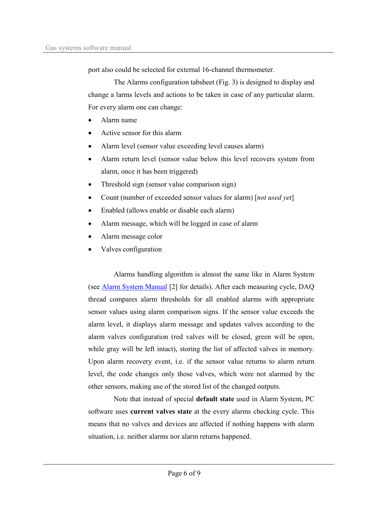port also could be selected for external 16-channel thermometer.

The Alarms configuration tabsheet (Fig. 3) is designed to display and change a larms levels and actions to be taken in case of any particular alarm. For every alarm one can change:

- Alarm name
- Active sensor for this alarm
- Alarm level (sensor value exceeding level causes alarm)
- Alarm return level (sensor value below this level recovers system from alarm, once it has been triggered)
- Threshold sign (sensor value comparison sign)
- Count (number of exceeded sensor values for alarm) [not used yet]
- Enabled (allows enable or disable each alarm)
- Alarm message, which will be logged in case of alarm
- Alarm message color
- Valves configuration

Alarms handling algorithm is almost the same like in Alarm System (see **Alarm System Manual** [2] for details). After each measuring cycle, DAQ thread compares alarm thresholds for all enabled alarms with appropriate sensor values using alarm comparison signs. If the sensor value exceeds the alarm level, it displays alarm message and updates valves according to the alarm valves configuration (red valves will be closed, green will be open, while gray will be left intact), storing the list of affected valves in memory. Upon alarm recovery event, i.e. if the sensor value returns to alarm return level, the code changes only those valves, which were not alarmed by the other sensors, making use of the stored list of the changed outputs.

Note that instead of special default state used in Alarm System, PC software uses current valves state at the every alarms checking cycle. This means that no valves and devices are affected if nothing happens with alarm situation, i.e. neither alarms nor alarm returns happened.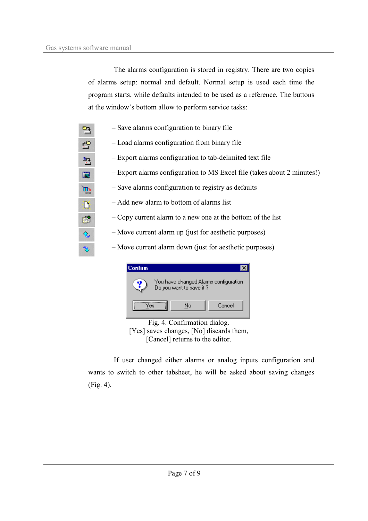The alarms configuration is stored in registry. There are two copies of alarms setup: normal and default. Normal setup is used each time the program starts, while defaults intended to be used as a reference. The buttons at the window's bottom allow to perform service tasks:

| 엄                       | - Save alarms configuration to binary file                              |
|-------------------------|-------------------------------------------------------------------------|
| 會                       | - Load alarms configuration from binary file                            |
| 월                       | - Export alarms configuration to tab-delimited text file                |
| $\overline{\mathbb{N}}$ | - Export alarms configuration to MS Excel file (takes about 2 minutes!) |
| $\mathbb{H}$            | - Save alarms configuration to registry as defaults                     |
| Df                      | - Add new alarm to bottom of alarms list                                |
| 窜                       | - Copy current alarm to a new one at the bottom of the list             |
| $\infty$                | - Move current alarm up (just for aesthetic purposes)                   |
| ð                       | - Move current alarm down (just for aesthetic purposes)                 |



[Yes] saves changes, [No] discards them, [Cancel] returns to the editor.

If user changed either alarms or analog inputs configuration and wants to switch to other tabsheet, he will be asked about saving changes  $(Fig. 4)$ .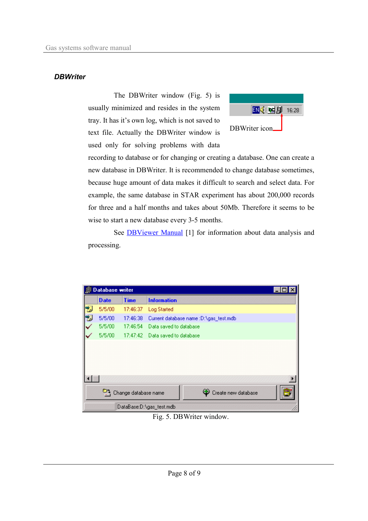#### **DBWriter**

The DBWriter window (Fig. 5) is usually minimized and resides in the system tray. It has it's own log, which is not saved to text file. Actually the DBWriter window is used only for solving problems with data



recording to database or for changing or creating a database. One can create a new database in DBWriter. It is recommended to change database sometimes, because huge amount of data makes it difficult to search and select data. For example, the same database in STAR experiment has about 200,000 records for three and a half months and takes about 50Mb. Therefore it seems to be wise to start a new database every 3-5 months.

See **DBViewer Manual** [1] for information about data analysis and processing.

| 厠 | <b>Database writer</b>   |                      |                                        |  |  |  |  |  |
|---|--------------------------|----------------------|----------------------------------------|--|--|--|--|--|
|   | <b>Date</b>              | <b>Time</b>          | <b>Information</b>                     |  |  |  |  |  |
| 囫 | 5/5/00                   | 17:46:37             | Log Started                            |  |  |  |  |  |
| 幌 | 5/5/00                   | 17:46:38             | Current database name :D:\gas_test.mdb |  |  |  |  |  |
|   | 5/5/00                   | 17:46:54             | Data saved to database                 |  |  |  |  |  |
|   | 5/5/00                   |                      | 17:47:42 Data saved to database        |  |  |  |  |  |
|   |                          |                      |                                        |  |  |  |  |  |
|   |                          |                      |                                        |  |  |  |  |  |
|   |                          |                      |                                        |  |  |  |  |  |
|   |                          |                      |                                        |  |  |  |  |  |
|   |                          | Change database name | Create new database                    |  |  |  |  |  |
|   | DataBase:D:\gas_test.mdb |                      |                                        |  |  |  |  |  |

Fig. 5. DBWriter window.